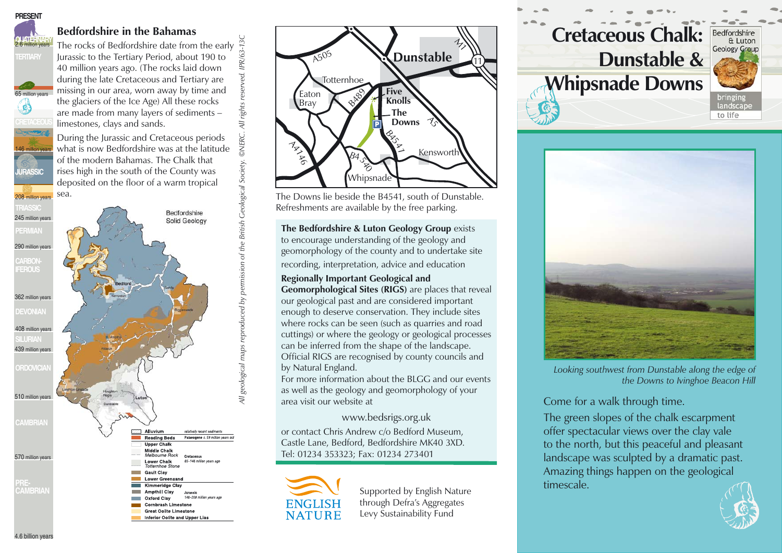

**TERTIARY** 

65 million years

 $\mathbf{C}$ 

**JURASSIC**

146 million years

## **Bedfordshire in the Bahamas**

The rocks of Bedfordshire date from the early Jurassic to the Tertiary Period, about 190 to 40 million years ago. (The rocks laid down during the late Cretaceous and Tertiary are missing in our area, worn away by time and the glaciers of the Ice Age) All these rocks are made from many layers of sediments – limestones, clays and sands.

IPR/63-13C

**DNERC.** All rights

During the Jurassic and Cretaceous periods what is now Bedfordshire was at the latitude of the modern Bahamas. The Chalk that rises high in the south of the County was deposited on the floor of a warm tropical sea.





The Downs lie beside the B4541, south of Dunstable. Refreshments are available by the free parking.

recording, interpretation, advice and education **The Bedfordshire & Luton Geology Group** exists to encourage understanding of the geology and geomorphology of the county and to undertake site

**Regionally Important Geological and Geomorphological Sites (RIGS)** are places that reveal our geological past and are considered important enough to deserve conservation. They include sites where rocks can be seen (such as quarries and road cuttings) or where the geology or geological processes can be inferred from the shape of the landscape. Official RIGS are recognised by county councils and by Natural England.

For more information about the BLGG and our events as well as the geology and geomorphology of your area visit our website at

www.bedsrigs.org.uk or contact Chris Andrew c/o Bedford Museum, Castle Lane, Bedford, Bedfordshire MK40 3XD. Tel: 01234 353323; Fax: 01234 273401



Supported by English Nature **timescale.** through Defra's Aggregates Levy Sustainability Fund





*Looking southwest from Dunstable along the edge of the Downs to Ivinghoe Beacon Hill*

Come for a walk through time.

The green slopes of the chalk escarpment offer spectacular views over the clay vale to the north, but this peaceful and pleasant landscape was sculpted by a dramatic past. Amazing things happen on the geological



4.6 billion years